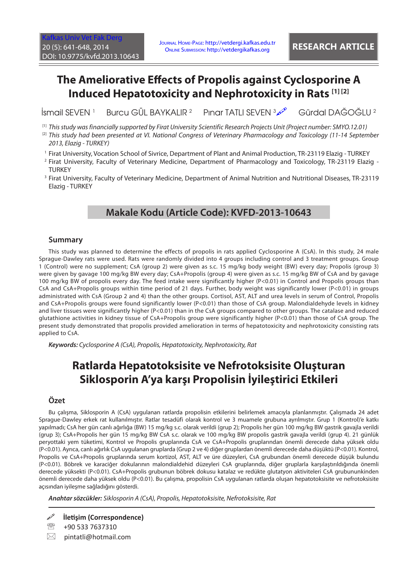# **The Ameliorative Effects of Propolis against Cyclosporine A Induced Hepatotoxicity and Nephrotoxicity in Rats [1] [2]**

İsmail SEVEN <sup>1</sup> Burcu GÜL BAYKALIR <sup>2</sup> Pınar TATLI SEVEN  $\frac{3}{2}$ Gürdal DAĞOĞLU <sup>2</sup>

[1] *This study was financially supported by Firat University Scientific Research Projects Unit (Project number: SMYO.12.01)*

- <sup>[2]</sup> This study had been presented at VI. National Congress of Veterinary Pharmacology and Toxicology (11-14 September *2013, Elazig - TURKEY)*
- 1 Firat University, Vocation School of Sivrice, Department of Plant and Animal Production, TR-23119 Elazig TURKEY
- 2 Firat University, Faculty of Veterinary Medicine, Department of Pharmacology and Toxicology, TR-23119 Elazig **TURKEY**
- 3 Firat University, Faculty of Veterinary Medicine, Department of Animal Nutrition and Nutritional Diseases, TR-23119 Elazig - TURKEY

# **Makale Kodu (Article Code): KVFD-2013-10643**

### **Summary**

This study was planned to determine the effects of propolis in rats applied Cyclosporine A (CsA). In this study, 24 male Sprague-Dawley rats were used. Rats were randomly divided into 4 groups including control and 3 treatment groups. Group 1 (Control) were no supplement; CsA (group 2) were given as s.c. 15 mg/kg body weight (BW) every day; Propolis (group 3) were given by gavage 100 mg/kg BW every day; CsA+Propolis (group 4) were given as s.c. 15 mg/kg BW of CsA and by gavage 100 mg/kg BW of propolis every day. The feed intake were significantly higher (P<0.01) in Control and Propolis groups than CsA and CsA+Propolis groups within time period of 21 days. Further, body weight was significantly lower (P<0.01) in groups administrated with CsA (Group 2 and 4) than the other groups. Cortisol, AST, ALT and urea levels in serum of Control, Propolis and CsA+Propolis groups were found significantly lower (P<0.01) than those of CsA group. Malondialdehyde levels in kidney and liver tissues were significantly higher (P<0.01) than in the CsA groups compared to other groups. The catalase and reduced glutathione activities in kidney tissue of CsA+Propolis group were significantly higher (P<0.01) than those of CsA group. The present study demonstrated that propolis provided amelioration in terms of hepatotoxicity and nephrotoxicity consisting rats applied to CsA.

*Keywords: Cyclosporine A (CsA), Propolis, Hepatotoxicity, Nephrotoxicity, Rat*

# **Ratlarda Hepatotoksisite ve Nefrotoksisite Oluşturan Siklosporin A'ya karşı Propolisin İyileştirici Etkileri**

### **Özet**

Bu çalışma, Siklosporin A (CsA) uygulanan ratlarda propolisin etkilerini belirlemek amacıyla planlanmıştır. Çalışmada 24 adet Sprague-Dawley erkek rat kullanılmıştır. Ratlar tesadüfi olarak kontrol ve 3 muamele grubuna ayrılmıştır. Grup 1 (Kontrol)'e katkı yapılmadı; CsA her gün canlı ağırlığa (BW) 15 mg/kg s.c. olarak verildi (grup 2); Propolis her gün 100 mg/kg BW gastrik gavajla verildi (grup 3); CsA+Propolis her gün 15 mg/kg BW CsA s.c. olarak ve 100 mg/kg BW propolis gastrik gavajla verildi (grup 4). 21 günlük peryottaki yem tüketimi, Kontrol ve Propolis gruplarında CsA ve CsA+Propolis gruplarından önemli derecede daha yüksek oldu (P<0.01). Ayrıca, canlı ağırlık CsA uygulanan gruplarda (Grup 2 ve 4) diğer gruplardan önemli derecede daha düşüktü (P<0.01). Kontrol, Propolis ve CsA+Propolis gruplarında serum kortizol, AST, ALT ve üre düzeyleri, CsA grubundan önemli derecede düşük bulundu (P<0.01). Böbrek ve karaciğer dokularının malondialdehid düzeyleri CsA gruplarında, diğer gruplarla karşılaştırıldığında önemli derecede yüksekti (P<0.01). CsA+Propolis grubunun böbrek dokusu katalaz ve redükte glutatyon aktiviteleri CsA grubununkinden önemli derecede daha yüksek oldu (P<0.01). Bu çalışma, propolisin CsA uygulanan ratlarda oluşan hepatotoksisite ve nefrotoksisite açısından iyileşme sağladığını gösterdi.

*Anahtar sözcükler: Siklosporin A (CsA), Propolis, Hepatotoksisite, Nefrotoksisite, Rat*

**İletişim (Correspondence)**

- 图 +90 533 7637310
- $\boxtimes$  pintatli@hotmail.com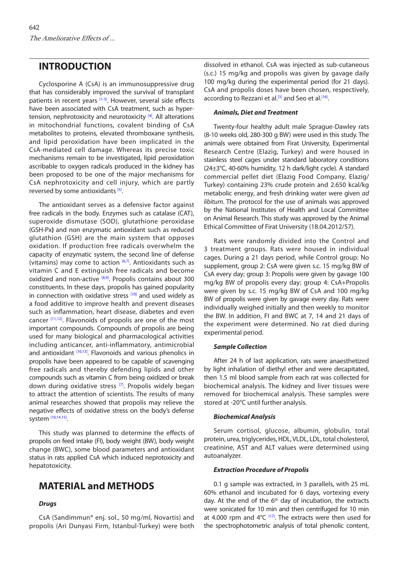### **INTRODUCTION**

Cyclosporine A (CsA) is an immunosuppressive drug that has considerably improved the survival of transplant patients in recent years [\[1-3\]](#page-5-0). However, several side effects have been associated with CsA treatment, such as hypertension, nephrotoxicity and neurotoxicity  $[4]$ . All alterations in mitochondrial functions, covalent binding of CsA metabolites to proteins, elevated thromboxane synthesis, and lipid peroxidation have been implicated in the CsA-mediated cell damage. Whereas its precise toxic mechanisms remain to be investigated, lipid peroxidation ascribable to oxygen radicals produced in the kidney has been proposed to be one of the major mechanisms for CsA nephrotoxicity and cell injury, which are partly reversed by some antioxidants<sup>[5]</sup>.

The antioxidant serves as a defensive factor against free radicals in the body. Enzymes such as catalase (CAT), superoxide dismutase (SOD), glutathione peroxidase (GSH-Px**)** and non enzymatic antioxidant such as reduced glutathion (GSH) are the main system that opposes oxidation. If production free radicals overwhelm the capacity of enzymatic system, the second line of defense (vitamins) may come to action  $[6,7]$ . Antioxidants such as vitamin C and E extinguish free radicals and become oxidized and non-active [\[8,9\].](#page-6-0) Propolis contains about 300 constituents. In these days, propolis has gained popularity in connection with oxidative stress  $[10]$  and used widely as a food additive to improve health and prevent diseases such as inflammation, heart disease, diabetes and even cancer [\[11,12\].](#page-6-0) Flavonoids of propolis are one of the most important compounds. Compounds of propolis are being used for many biological and pharmacological activities including anticancer, anti-inflammatory, antimicrobial and antioxidant <a>[10,13]</a>. Flavonoids and various phenolics in propolis have been appeared to be capable of scavenging free radicals and thereby defending lipids and other compounds such as vitamin C from being oxidized or break down during oxidative stress <a>[\[7\]](#page-6-0)</a>. Propolis widely began to attract the attention of scientists. The results of many animal researches showed that propolis may relieve the negative effects of oxidative stress on the body's defense system [\[10,14,15\]](#page-6-0).

This study was planned to determine the effects of propolis on feed intake (FI), body weight (BW), body weight change (BWC), some blood parameters and antioxidant status in rats applied CsA which induced neprotoxicity and hepatotoxicity.

## **MATERIAL and METHODS**

### *Drugs*

CsA (Sandimmun® enj. sol., 50 mg/ml, Novartis) and propolis (Ari Dunyasi Firm, Istanbul-Turkey) were both dissolved in ethanol. CsA was injected as sub-cutaneous (s.c.) 15 mg/kg and propolis was given by gavage daily 100 mg/kg during the experimental period (for 21 days). CsA and propolis doses have been chosen, respectively, according to Rezzani et al.<sup>[3]</sup> and Seo et al.<sup>[16]</sup>.

#### *Animals, Diet and Treatment*

Twenty-four healthy adult male Sprague-Dawley rats (8-10 weeks old, 280-300 g BW) were used in this study. The animals were obtained from Firat University, Experimental Research Centre (Elazig, Turkey) and were housed in stainless steel cages under standard laboratory conditions (24±3°C, 40-60% humidity, 12 h dark/light cycle). A standard commercial pellet diet (Elazig Food Company, Elazig/ Turkey) containing 23% crude protein and 2.650 kcal/kg metabolic energy, and fresh drinking water were given *ad libitum*. The protocol for the use of animals was approved by the National Institutes of Health and Local Committee on Animal Research. This study was approved by the Animal Ethical Committee of Firat University (18.04.2012/57).

Rats were randomly divided into the Control and 3 treatment groups. Rats were housed in individual cages. During a 21 days period, while Control group: No supplement, group 2: CsA were given s.c. 15 mg/kg BW of CsA every day; group 3: Propolis were given by gavage 100 mg/kg BW of propolis every day; group 4: CsA+Propolis were given by s.c. 15 mg/kg BW of CsA and 100 mg/kg BW of propolis were given by gavage every day. Rats were individually weighed initially and then weekly to monitor the BW. In addition, FI and BWC at 7, 14 and 21 days of the experiment were determined. No rat died during experimental period.

#### *Sample Collection*

After 24 h of last application, rats were anaesthetized by light inhalation of diethyl ether and were decapitated, then 1.5 ml blood sample from each rat was collected for biochemical analysis. The kidney and liver tissues were removed for biochemical analysis. These samples were stored at -20°C until further analysis.

#### *Biochemical Analysis*

Serum cortisol, glucose, albumin, globulin, total protein, urea, triglycerides, HDL, VLDL, LDL, total cholesterol, creatinine, AST and ALT values were determined using autoanalyzer.

#### *Extraction Procedure of Propolis*

0.1 g sample was extracted, in 3 parallels, with 25 mL 60% ethanol and incubated for 6 days, vortexing every day. At the end of the  $6<sup>th</sup>$  day of incubation, the extracts were sonicated for 10 min and then centrifuged for 10 min at 4.000 rpm and  $4^{\circ}C$  <sup>[1[7\]](#page-6-0)</sup>. The extracts were then used for the spectrophotometric analysis of total phenolic content,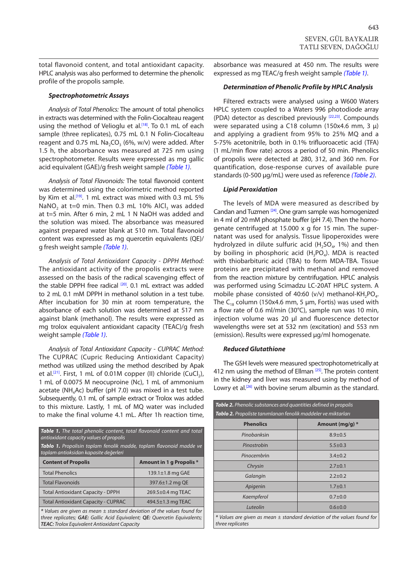<span id="page-2-0"></span>total flavonoid content, and total antioxidant capacity. HPLC analysis was also performed to determine the phenolic profile of the propolis sample.

#### *Spectrophotometric Assays*

*Analysis of Total Phenolics:* The amount of total phenolics in extracts was determined with the Folin-Ciocalteau reagent using the method of Velioglu et al.<sup>[18]</sup>. To 0.1 mL of each sample (three replicates), 0.75 mL 0.1 N Folin-Ciocalteau reagent and 0.75 mL  $\text{Na}_2\text{CO}_3$  (6%, w/v) were added. After 1.5 h, the absorbance was measured at 725 nm using spectrophotometer. Results were expressed as mg gallic acid equivalent (GAE)/g fresh weight sample *(Table 1)*.

*Analysis of Total Flavonoids:* The total flavonoid content was determined using the colorimetric method reported by Kim et al.<sup>[19]</sup>. 1 mL extract was mixed with 0.3 mL 5% NaNO<sub>2</sub> at t=0 min. Then 0.3 mL 10% AlCl<sub>3</sub> was added at t=5 min. After 6 min, 2 mL 1 N NaOH was added and the solution was mixed. The absorbance was measured against prepared water blank at 510 nm. Total flavonoid content was expressed as mg quercetin equivalents (QE)/ g fresh weight sample *(Table 1)*.

*Analysis of Total Antioxidant Capacity - DPPH Method:*  The antioxidant activity of the propolis extracts were assessed on the basis of the radical scavenging effect of the stable DPPH free radical [\[20\].](#page-6-0) 0.1 mL extract was added to 2 mL 0.1 mM DPPH in methanol solution in a test tube. After incubation for 30 min at room temperature, the absorbance of each solution was determined at 517 nm against blank (methanol). The results were expressed as mg trolox equivalent antioxidant capacity (TEAC)/g fresh weight sample *(Table 1)*.

*Analysis of Total Antioxidant Capacity - CUPRAC Method:*  The CUPRAC (Cupric Reducing Antioxidant Capacity) method was utilized using the method described by Apak et al.<sup>[\[21\]](#page-6-0)</sup>. First, 1 mL of 0.01M copper (II) chloride (CuCl<sub>2</sub>), 1 mL of 0.0075 M neocuproine (Nc), 1 mL of ammonium acetate (NH<sub>4</sub>Ac) buffer (pH 7.0) was mixed in a test tube. Subsequently, 0.1 mL of sample extract or Trolox was added to this mixture. Lastly, 1 mL of MQ water was included to make the final volume 4.1 mL. After 1h reaction time,

| Table 1. The total phenolic content, total flavonoid content and total<br>antioxidant capacity values of propolis                                                                                                 |                                 |  |  |  |
|-------------------------------------------------------------------------------------------------------------------------------------------------------------------------------------------------------------------|---------------------------------|--|--|--|
| Tablo 1. Propolisin toplam fenolik madde, toplam flavonoid madde ve<br>toplam antioksidan kapasite değerleri                                                                                                      |                                 |  |  |  |
| <b>Content of Propolis</b>                                                                                                                                                                                        | <b>Amount in 1 g Propolis *</b> |  |  |  |
| <b>Total Phenolics</b>                                                                                                                                                                                            | 139.1 $\pm$ 1.8 mg GAE          |  |  |  |
| <b>Total Flavonoids</b>                                                                                                                                                                                           | 397.6±1.2 mg QE                 |  |  |  |
| <b>Total Antioxidant Capacity - DPPH</b>                                                                                                                                                                          | $269.5\pm0.4$ mg TEAC           |  |  |  |
| <b>Total Antioxidant Capacity - CUPRAC</b><br>$494.5 \pm 1.3$ mg TEAC                                                                                                                                             |                                 |  |  |  |
| $*$ Values are given as mean $\pm$ standard deviation of the values found for<br>three replicates; GAE: Gallic Acid Equivalent; QE: Quercetin Equivalents;<br><b>TEAC:</b> Trolox Equivalent Antioxidant Capacity |                                 |  |  |  |

absorbance was measured at 450 nm. The results were expressed as mg TEAC/g fresh weight sample *(Table 1)*.

#### *Determination of Phenolic Profile by HPLC Analysis*

Filtered extracts were analysed using a W600 Waters HPLC system coupled to a Waters 996 photodiode array (PDA) detector as described previously [\[22,23\]](#page-6-0). Compounds were separated using a C18 column (150x4.6 mm, 3 μ) and applying a gradient from 95% to 25% MQ and a 5-75% acetonitrile, both in 0.1% trifluoroacetic acid (TFA) (1 mL/min flow rate) across a period of 50 min. Phenolics of propolis were detected at 280, 312, and 360 nm. For quantification, dose-response curves of available pure standards (0-500 μg/mL) were used as reference *(Table 2)*.

#### *Lipid Peroxidation*

The levels of MDA were measured as described by Candan and Tuzmen [\[24\].](#page-6-0) One gram sample was homogenized in 4 ml of 20 mM phosphate buffer (pH 7.4). Then the homogenate centrifuged at 15.000 x g for 15 min. The supernatant was used for analysis. Tissue lipoperoxides were hydrolyzed in dilute sulfuric acid (H<sub>2</sub>SO<sub>4</sub>, 1%) and then by boiling in phosphoric acid  $(H_3PO_4)$ . MDA is reacted with thiobarbituric acid (TBA) to form MDA-TBA. Tissue proteins are precipitated with methanol and removed from the reaction mixture by centrifugation. HPLC analysis was performed using Scimadzu LC-20AT HPLC system. A mobile phase consisted of 40:60 (v/v) methanol-KH<sub>2</sub>PO<sub>4</sub>. The C<sub>18</sub> column (150x4.6 mm, 5 µm, Fortis) was used with a flow rate of 0.6 ml/min (30°C), sample run was 10 min, injection volume was 20 µl and fluorescence detector wavelengths were set at 532 nm (excitation) and 553 nm (emission). Results were expressed µg/ml homogenate.

#### *Reduced Glutathione*

The GSH levels were measured spectrophotometrically at 412 nm using the method of Ellman <sup>[25]</sup>. The protein content in the kidney and liver was measured using by method of Lowry et al.<sup>[26]</sup> with bovine serum albumin as the standard.

| Table 2. Phenolic substances and quantities defined in propolis<br>Tablo 2. Propoliste tanımlanan fenolik maddeler ve miktarları |               |  |  |  |
|----------------------------------------------------------------------------------------------------------------------------------|---------------|--|--|--|
| <b>Phenolics</b><br>Amount (mg/g) $*$                                                                                            |               |  |  |  |
| Pinobanksin                                                                                                                      | $8.9 + 0.5$   |  |  |  |
| Pinostrobin                                                                                                                      | $5.5 \pm 0.3$ |  |  |  |
| Pinocembrin                                                                                                                      | $3.4 \pm 0.2$ |  |  |  |
| Chrysin                                                                                                                          | $2.7 + 0.1$   |  |  |  |
| Galangin                                                                                                                         | $2.2 + 0.2$   |  |  |  |
| Apigenin                                                                                                                         | $1.7 + 0.1$   |  |  |  |
| Kaempferol                                                                                                                       | $0.7 + 0.0$   |  |  |  |
| Luteolin                                                                                                                         | $0.6 + 0.0$   |  |  |  |
| * Values are given as mean ± standard deviation of the values found for<br>three replicates                                      |               |  |  |  |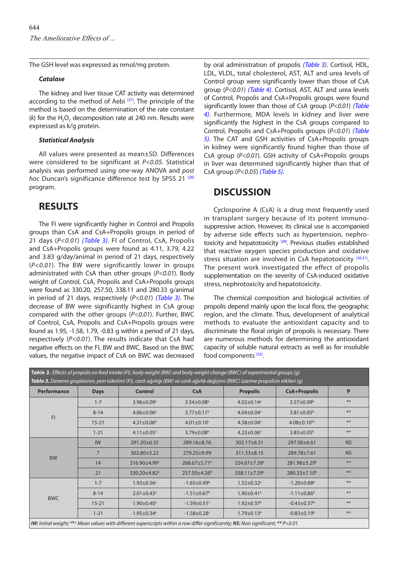<span id="page-3-0"></span>The GSH level was expressed as nmol/mg protein.

#### *Catalase*

The kidney and liver tissue CAT activity was determined according to the method of Aebi<sup>[\[27\]](#page-6-0)</sup>. The principle of the method is based on the determination of the rate constant (k) for the H<sub>2</sub>O<sub>2</sub> decomposition rate at 240 nm. Results were expressed as k/g protein.

#### *Statistical Analysis*

All values were presented as mean±SD. Differences were considered to be significant at *P<0.05*. Statistical analysis was performed using one-way ANOVA and *post hoc* Duncan's significance difference test by SPSS 21<sup>[\[28\]](#page-6-0)</sup> program.

### **RESULTS**

The FI were significantly higher in Control and Propolis groups than CsA and CsA+Propolis groups in period of 21 days (*P<0.01*) *(Table 3)*. FI of Control, CsA, Propolis and CsA+Propolis groups were found as 4.11, 3.79, 4.22 and 3.83 g/day/animal in period of 21 days, respectively (*P<0.01*). The BW were significantly lower in groups administrated with CsA than other groups (*P<0.01*). Body weight of Control, CsA, Propolis and CsA+Propolis groups were found as 330.20, 257.50, 338.11 and 280.33 g/animal in period of 21 days, respectively (*P<0.01*) *(Table 3)*. The decrease of BW were significantly highest in CsA group compared with the other groups (*P<0.01*). Further, BWC of Control, CsA, Propolis and CsA+Propolis groups were found as 1.95, -1.58, 1.79, -0.83 g within a period of 21 days, respectively (*P<0.01*). The results indicate that CsA had negative effects on the FI, BW and BWC. Based on the BWC values, the negative impact of CsA on BWC was decreased

by oral administration of propolis *(Table 3)*. Cortisol, HDL, LDL, VLDL, total cholesterol, AST, ALT and urea levels of Control group were significantly lower than those of CsA group (*P<0.01*) *[\(Table 4\)](#page-4-0)*. Cortisol, AST, ALT and urea levels of Control, Propolis and CsA+Propolis groups were found significantly lower than those of CsA group (*P<0.01*) *(Table 4)*[. Furthermore, MDA levels in kidney and liver were](#page-4-0)  significantly the highest in the CsA groups compared to Control, Propolis and CsA+Propolis groups (*P<0.01*) *(Table 5)*[. The CAT and GSH activities of CsA+Propolis groups](#page-4-0)  in kidney were significantly found higher than those of CsA group (*P<0.01*). GSH activity of CsA+Propolis groups in liver was determined significantly higher than that of CsA group (*P<0.05*) *[\(Table 5\)](#page-4-0)*.

### **DISCUSSION**

Cyclosporine A (CsA) is a drug most frequently used in transplant surgery because of its potent immunosuppressive action. However, its clinical use is accompanied by adverse side effects such as hypertension, nephrotoxicity and hepatotoxicity<sup>[29]</sup>. Previous studies established that reactive oxygen species production and oxidative stress situation are involved in CsA hepatotoxicity  $[30,31]$ . The present work investigated the effect of propolis supplementation on the severity of CsA-induced oxidative stress, nephrotoxicity and hepatotoxicity.

The chemical composition and biological activities of propolis depend mainly upon the local flora, the geographic region, and the climate. Thus, development of analytical methods to evaluate the antioxidant capacity and to discriminate the floral origin of propolis is necessary. There are numerous methods for determining the antioxidant capacity of soluble natural extracts as well as for insoluble food components [\[32\]](#page-6-0).

| Table 3. Effects of propolis on feed intake (FI), body weight (BW) and body weight change (BWC) of experimental groups (g)<br>Tablo 3. Deneme gruplarının, yem tüketimi (FI), canlı ağırlığı (BW) ve canlı ağırlık değişimi (BWC) üzerine propolisin etkileri (g) |                 |                                                                                                                                     |                               |                              |                               |           |
|-------------------------------------------------------------------------------------------------------------------------------------------------------------------------------------------------------------------------------------------------------------------|-----------------|-------------------------------------------------------------------------------------------------------------------------------------|-------------------------------|------------------------------|-------------------------------|-----------|
| <b>Performance</b>                                                                                                                                                                                                                                                | <b>Days</b>     | <b>Control</b>                                                                                                                      | <b>CsA</b>                    | <b>Propolis</b>              | <b>CsA+Propolis</b>           | P         |
| F1                                                                                                                                                                                                                                                                | $1 - 7$         | $3.96 \pm 0.09$ <sup>a</sup>                                                                                                        | $3.54 \pm 0.08$ <sup>b</sup>  | $4.02 \pm 0.14$ <sup>a</sup> | $3.57 \pm 0.09^{\rm b}$       | **        |
|                                                                                                                                                                                                                                                                   | $8 - 14$        | $4.06 \pm 0.06^a$                                                                                                                   | $3.77 \pm 0.11$ <sup>b</sup>  | $4.04 \pm 0.04$ <sup>a</sup> | $3.81 \pm 0.05^b$             | **        |
|                                                                                                                                                                                                                                                                   | $15 - 21$       | $4.31 \pm 0.06^{\rm b}$                                                                                                             | $4.01 \pm 0.10$ <sup>c</sup>  | $4.58 \pm 0.04$ <sup>a</sup> | $4.08 \pm 0.10^{bc}$          | **        |
|                                                                                                                                                                                                                                                                   | $1 - 21$        | $4.11 \pm 0.05^{\circ}$                                                                                                             | $3.79 \pm 0.08^{\rm b}$       | $4.22 \pm 0.06^a$            | $3.83 \pm 0.05^b$             | **        |
| <b>BW</b>                                                                                                                                                                                                                                                         | <b>IW</b>       | 291.20±6.35                                                                                                                         | 289.16±8.76                   | 302.17±6.31                  | 297.00±6.61                   | <b>NS</b> |
|                                                                                                                                                                                                                                                                   | $7\overline{ }$ | 302.80±5.22                                                                                                                         | 279.25±9.99                   | 311.33±8.15                  | 289.78±7.61                   | <b>NS</b> |
|                                                                                                                                                                                                                                                                   | 14              | 316.90±4.99 <sup>a</sup>                                                                                                            | 268.67±5.71 <sup>b</sup>      | 324.67±7.39 <sup>a</sup>     | 281.98±5.29 <sup>b</sup>      | **        |
|                                                                                                                                                                                                                                                                   | 21              | 330.20±4.82 <sup>a</sup>                                                                                                            | 257.50±4.26 <sup>b</sup>      | 338.11±7.59 <sup>a</sup>     | $280.33 \pm 7.10^b$           | **        |
| <b>BWC</b>                                                                                                                                                                                                                                                        | $1 - 7$         | $1.93 \pm 0.56$ <sup>a</sup>                                                                                                        | $-1.65 \pm 0.49^b$            | $1.52 \pm 0.32$ <sup>a</sup> | $-1.20 \pm 0.88$ <sup>b</sup> | **        |
|                                                                                                                                                                                                                                                                   | $8 - 14$        | $2.01 \pm 0.43$ <sup>a</sup>                                                                                                        | $-1.51 \pm 0.67$ <sup>b</sup> | $1.90 \pm 0.41$ <sup>a</sup> | $-1.11 \pm 0.86$ <sup>b</sup> | **        |
|                                                                                                                                                                                                                                                                   | $15 - 21$       | $1.90 \pm 0.40^{\circ}$                                                                                                             | $-1.59 \pm 0.51$ <sup>c</sup> | $1.92 \pm 0.37$ <sup>a</sup> | $-0.43 \pm 0.37$ <sup>b</sup> | **        |
|                                                                                                                                                                                                                                                                   | $1 - 21$        | 1.95±0.34 <sup>a</sup>                                                                                                              | $-1.58 \pm 0.28$ c            | $1.79 \pm 0.13$ <sup>a</sup> | $-0.83 \pm 0.19^b$            | **        |
|                                                                                                                                                                                                                                                                   |                 | IW: Initial weight; a,b,c Mean values with different superscripts within a row differ significantly; NS: Non significant; ** P<0.01 |                               |                              |                               |           |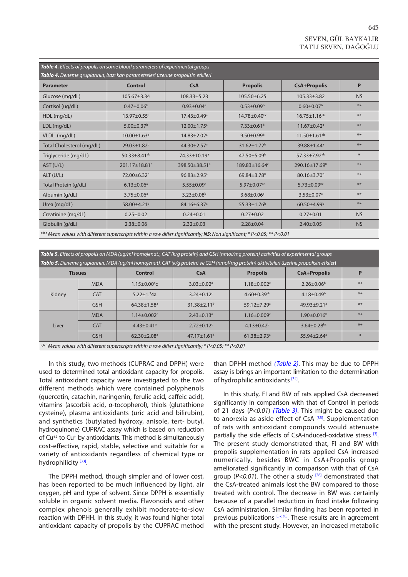# SEVEN, GÜL BAYKALIR TATLI SEVEN, DAĞOĞLU

<span id="page-4-0"></span>

| Table 4. Effects of propolis on some blood parameters of experimental groups                                              |                              |                               |                               |                               |           |  |
|---------------------------------------------------------------------------------------------------------------------------|------------------------------|-------------------------------|-------------------------------|-------------------------------|-----------|--|
| Tablo 4. Deneme gruplarının, bazı kan parametreleri üzerine propolisin etkileri                                           |                              |                               |                               |                               |           |  |
| <b>Parameter</b>                                                                                                          | <b>Control</b>               | CsA                           | <b>Propolis</b>               | <b>CsA+Propolis</b>           | P         |  |
| Glucose (mg/dL)                                                                                                           | $105.67 \pm 3.34$            | $108.33 \pm 5.23$             | $105.50\pm 6.25$              | $105.33 \pm 3.82$             | <b>NS</b> |  |
| Cortisol (ug/dL)                                                                                                          | $0.47 \pm 0.06^{\circ}$      | $0.93 \pm 0.04$ <sup>a</sup>  | $0.53 \pm 0.09^{\rm b}$       | $0.60 \pm 0.07^b$             | **        |  |
| HDL (mg/dL)                                                                                                               | 13.97±0.55c                  | $17.43 \pm 0.49$ <sup>a</sup> | 14.78±0.40bc                  | $16.75 \pm 1.16^{ab}$         | **        |  |
| LDL (mg/dL)                                                                                                               | $5.00 \pm 0.37$ <sup>b</sup> | $12.00 \pm 1.75$ <sup>a</sup> | $7.33 \pm 0.61^b$             | $11.67 \pm 0.42$ <sup>a</sup> | **        |  |
| VLDL (mg/dL)                                                                                                              | $10.00 \pm 1.63^b$           | $14.83 \pm 2.02$ <sup>a</sup> | $9.50 \pm 0.99^{\rm b}$       | $11.50 \pm 1.61^{ab}$         | **        |  |
| Total Cholesterol (mg/dL)                                                                                                 | $29.03 \pm 1.82^b$           | $44.30 \pm 2.57$ <sup>a</sup> | $31.62 \pm 1.72$ <sup>b</sup> | 39.88±1.44 <sup>a</sup>       | **        |  |
| Triglyceride (mg/dL)                                                                                                      | 50.33±8.41 <sup>ab</sup>     | 74.33±10.19 <sup>a</sup>      | 47.50±5.09b                   | 57.33±7.92 <sup>ab</sup>      | $\ast$    |  |
| AST (U/L)                                                                                                                 | 201.17±18.81c                | 398.50 ± 38.51 <sup>a</sup>   | 189.83±16.64c                 | 290.16±17.69 <sup>b</sup>     | **        |  |
| ALT (U/L)                                                                                                                 | $72.00 + 6.32^b$             | $96.83 \pm 2.95^{\circ}$      | $69.84 \pm 3.78$ <sup>b</sup> | 80.16±3.70 <sup>b</sup>       | **        |  |
| Total Protein (g/dL)                                                                                                      | $6.13 \pm 0.06^a$            | $5.55 \pm 0.09$ <sup>c</sup>  | 5.97 $\pm$ 0.07 <sup>ab</sup> | $5.73 \pm 0.09$ bc            | **        |  |
| Albumin (g/dL)                                                                                                            | $3.75 \pm 0.06^a$            | $3.23 \pm 0.08^{\circ}$       | $3.68 \pm 0.06^a$             | $3.53 \pm 0.07$ <sup>a</sup>  | **        |  |
| Urea (mg/dL)                                                                                                              | 58.00±4.21 <sup>b</sup>      | 84.16±6.37 <sup>a</sup>       | $55.33 \pm 1.76^b$            | $60.50 \pm 4.99$ <sup>b</sup> | **        |  |
| Creatinine (mg/dL)                                                                                                        | $0.25 \pm 0.02$              | $0.24 \pm 0.01$               | $0.27 \pm 0.02$               | $0.27 + 0.01$                 | <b>NS</b> |  |
| Globulin (g/dL)                                                                                                           | $2.38 \pm 0.06$              | $2.32 \pm 0.03$               | $2.28 \pm 0.04$               | $2.40 \pm 0.05$               | <b>NS</b> |  |
| a,b,c Mean values with different superscripts within a row differ significantly; NS: Non significant; * P<0.05; ** P<0.01 |                              |                               |                               |                               |           |  |

| <b>Table 5.</b> Effects of propolis on MDA ( $\mu q$ /ml homojenat), CAT ( $k$ /q protein) and GSH (nmol/mq protein) activities of experimental groups<br>Tablo 5. Deneme gruplarının, MDA (µg/ml homojenat), CAT (k/g protein) ve GSH (nmol/mg protein) aktiviteleri üzerine propolisin etkileri |            |                               |                               |                               |                               |      |
|---------------------------------------------------------------------------------------------------------------------------------------------------------------------------------------------------------------------------------------------------------------------------------------------------|------------|-------------------------------|-------------------------------|-------------------------------|-------------------------------|------|
| <b>Tissues</b>                                                                                                                                                                                                                                                                                    |            | Control                       | CsA                           | <b>Propolis</b>               | <b>CsA+Propolis</b>           | P    |
| Kidney                                                                                                                                                                                                                                                                                            | <b>MDA</b> | $1.15 \pm 0.00^4$ c           | $3.03 \pm 0.02$ <sup>a</sup>  | $1.18 \pm 0.002$ <sup>c</sup> | $2.26 \pm 0.06^b$             | **   |
|                                                                                                                                                                                                                                                                                                   | <b>CAT</b> | $5.22 \pm 1.34a$              | $3.24 \pm 0.12$ <sup>c</sup>  | $4.60 \pm 0.39$ <sup>ab</sup> | $4.18 \pm 0.49^b$             | $**$ |
|                                                                                                                                                                                                                                                                                                   | <b>GSH</b> | $64.38 \pm 1.58$ <sup>a</sup> | $31.38 \pm 2.11^b$            | $59.12 + 7.29$ <sup>a</sup>   | $49.93 + 9.21$ <sup>a</sup>   | **   |
| Liver                                                                                                                                                                                                                                                                                             | <b>MDA</b> | $1.14 \pm 0.002$ <sup>c</sup> | $2.43 \pm 0.13$ <sup>a</sup>  | $1.16 \pm 0.009$ <sup>c</sup> | $1.90 \pm 0.016^b$            | **   |
|                                                                                                                                                                                                                                                                                                   | <b>CAT</b> | $4.43 \pm 0.41$ <sup>a</sup>  | $2.72 \pm 0.12$ <sup>c</sup>  | $4.13 \pm 0.42^b$             | $3.64 \pm 0.28$ <sub>bc</sub> | **   |
|                                                                                                                                                                                                                                                                                                   | <b>GSH</b> | $62.30 \pm 2.08$ <sup>a</sup> | 47.17 $\pm$ 1.61 <sup>b</sup> | $61.38 \pm 2.93$ <sup>a</sup> | $55.94 \pm 2.64$ <sup>a</sup> | $*$  |
| $\int$ a,b,c Mean values with different superscripts within a row differ significantly; * P<0.05; ** P<0.01                                                                                                                                                                                       |            |                               |                               |                               |                               |      |

In this study, two methods (CUPRAC and DPPH) were used to determined total antioxidant capacity for propolis. Total antioxidant capacity were investigated to the two different methods which were contained polyphenols (quercetin, catachin, naringenin, ferulic acid, caffeic acid), vitamins (ascorbik acid, α-tocopherol), thiols (glutathione cysteine), plasma antioxidants (uric acid and bilirubin), and synthetics (butylated hydroxy, anisole, tert- butyl, hydroquinone) CUPRAC assay which is based on reduction of Cu+2 to Cu+ by antioxidants. This method is simultaneously cost-effective, rapid, stable, selective and suitable for a variety of antioxidants regardless of chemical type or hydrophilicity<sup>[33]</sup>.

The DPPH method, though simpler and of lower cost, has been reported to be much influenced by light, air oxygen, pH and type of solvent. Since DPPH is essentially soluble in organic solvent media. Flavonoids and other complex phenols generally exhibit moderate-to-slow reaction with DPHH. In this study, it was found higher total antioxidant capacity of propolis by the CUPRAC method than DPHH method *[\(Table 2\)](#page-2-0)*. This may be due to DPPH assay is brings an important limitation to the determination of hydrophilic antioxidants [\[34\]](#page-6-0).

In this study, FI and BW of rats applied CsA decreased significantly in comparison with that of Control in periods of 21 days (*P<0.01*) *[\(Table 3\)](#page-3-0)*. This might be caused due to anorexia as aside effect of CsA [\[35\].](#page-6-0) Supplementation of rats with antioxidant compounds would attenuate partially the side effects of CsA-induced-oxidative stress [\[3\].](#page-5-0) The present study demonstrated that, FI and BW with propolis supplementation in rats applied CsA increased numerically, besides BWC in CsA+Propolis group ameliorated significantly in comparison with that of CsA group (P<0.01). The other a study <sup>[\[36\]](#page-6-0)</sup> demonstrated that the CsA-treated animals lost the BW compared to those treated with control. The decrease in BW was certainly because of a parallel reduction in food intake following CsA administration. Similar finding has been reported in previous publications <sup>[37,38]</sup>. These results are in agreement with the present study. However, an increased metabolic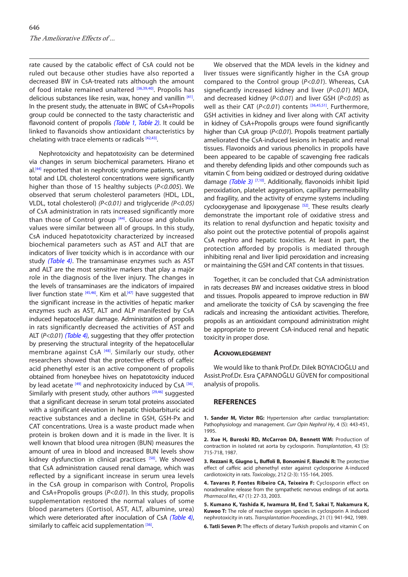<span id="page-5-0"></span>rate caused by the catabolic effect of CsA could not be ruled out because other studies have also reported a decreased BW in CsA-treated rats although the amount of food intake remained unaltered [\[36,39,40\]](#page-6-0). Propolis has delicious substances like resin, wax, honey and vanillin [\[41\]](#page-6-0). In the present study, the attenuate in BWC of CsA+Propolis group could be connected to the tasty characteristic and flavonoid content of propolis *([Table 1, Table 2\)](#page-2-0)*. It could be linked to flavanoids show antioxidant characteristics by chelating with trace elements or radicals [\[42,43\].](#page-6-0)

Nephrotoxicity and hepatotoxisity can be determined via changes in serum biochemical parameters. Hirano et al.<sup>[44]</sup> reported that in nephrotic syndrome patients, serum total and LDL cholesterol concentrations were significantly higher than those of 15 healthy subjects (*P<0.005*). We observed that serum cholesterol parameters (HDL, LDL, VLDL, total cholesterol) *(P<0.01)* and triglyceride *(P<0.05)* of CsA administration in rats increased significantly more than those of Control group  $[44]$ . Glucose and globulin values were similar between all of groups. In this study, CsA induced hepatotoxicity characterized by increased biochemical parameters such as AST and ALT that are indicators of liver toxicity which is in accordance with our study *[\(Table 4\)](#page-4-0)*. The transaminase enzymes such as AST and ALT are the most sensitive markers that play a majör role in the diagnosis of the liver injury. The changes in the levels of transaminases are the indicators of impaired liver function state  $[45,46]$ . Kim et al. $[47]$  have suggested that the significant increase in the activities of hepatic marker enzymes such as AST, ALT and ALP manifested by CsA induced hepatocellular damage. Administration of propolis in rats significantly decreased the activities of AST and ALT (*P<0.01*) *[\(Table 4\)](#page-4-0)*, suggesting that they offer protection by preserving the structural integrity of the hepatocellular membrane against CsA<sup>[48]</sup>. Similarly our study, other researchers showed that the protective effects of caffeic acid phenethyl ester is an active component of propolis obtained from honeybee hives on hepatotoxicity induced by lead acetate [\[49\]](#page-7-0) and nephrotoxicity induced by CsA [\[36\]](#page-6-0). Similarly with present study, other authors <sup>[29,46]</sup> suggested that a significant decrease in serum total proteins associated with a significant elevation in hepatic thiobarbituric acid reactive substances and a decline in GSH, GSH-Px and CAT concentrations. Urea is a waste product made when protein is broken down and it is made in the liver. It is well known that blood urea nitrogen (BUN) measures the amount of urea in blood and increased BUN levels show kidney dysfunction in clinical practices [\[50\].](#page-7-0) We showed that CsA administration caused renal damage, which was reflected by a significant increase in serum urea levels in the CsA group in comparison with Control, Propolis and CsA+Propolis groups (*P<0.01*). In this study, propolis supplementation restored the normal values of some blood parameters (Cortisol, AST, ALT, albumine, urea) which were deteriorated after inoculation of CsA *[\(Table 4\)](#page-4-0)*, similarly to caffeic acid supplementation [\[36\].](#page-6-0)

We observed that the MDA levels in the kidney and liver tissues were significantly higher in the CsA group compared to the Control group (*P<0.01*). Whereas, CsA signeficantly increased kidney and liver (*P<0.01*) MDA, and decreased kidney (*P<0.01*) and liver GSH (*P<0.05*) as well as their CAT (P<0.01) contents [\[36,45,](#page-6-0)[51\]](#page-7-0). Furthermore, GSH activities in kidney and liver along with CAT activity in kidney of CsA+Propolis groups were found significantly higher than CsA group (*P<0.01*). Propolis treatment partially ameliorated the CsA-induced lesions in hepatic and renal tissues. Flavonoids and various phenolics in propolis have been appeared to be capable of scavenging free radicals and thereby defending lipids and other compounds such as vitamin C from being oxidized or destroyed during oxidative damage *[\(Table 3\)](#page-3-0)* [\[7,10\].](#page-6-0) Additionally, flavonoids inhibit lipid peroxidation, platelet aggregation, capillary permeability and fragility, and the activity of enzyme systems including cyclooxygenase and lipoxygenase [\[52\].](#page-7-0) These results clearly demonstrate the important role of oxidative stress and its relation to renal dysfunction and hepatic toxisity and also point out the protective potential of propolis against CsA nephro and hepatic toxicities. At least in part, the protection afforded by propolis is mediated through inhibiting renal and liver lipid peroxidation and increasing or maintaining the GSH and CAT contents in that tissues.

Together, it can be concluded that CsA administration in rats decreases BW and increases oxidative stress in blood and tissues. Propolis appeared to improve reduction in BW and ameliorate the toxicity of CsA by scavenging the free radicals and increasing the antioxidant activities. Therefore, propolis as an antioxidant compound administration might be appropriate to prevent CsA-induced renal and hepatic toxicity in proper dose.

#### **Acknowledgement**

We would like to thank Prof.Dr. Dilek BOYACIOĞLU and Assist.Prof.Dr. Esra ÇAPANOĞLU GÜVEN for compositional analysis of propolis.

#### **REFERENCES**

**1. Sander M, Victor RG:** Hypertension after cardiac transplantation: Pathophysiology and management. *Curr Opin Nephrol Hy*, 4 (5): 443-451, 1995.

**2. Xue H, Buroski RD, McCarron DA, Bennett WM:** Production of contraction in isolated rat aorta by cyclosporin. *Transplantation*, 43 (5): 715-718, 1987.

**3. Rezzani R, Giugno L, Buffoli B, Bonomini F, Bianchi R:** The protective effect of caffeic acid phenethyl ester against cyclosporine A-induced cardiotoxicity in rats. *Toxicology*, 212 (2-3): 155-164, 2005.

**4. Tavares P, Fontes Ribeiro CA, Teixeira F:** Cyclosporin effect on noradrenaline release from the sympathetic nervous endings of rat aorta. *Pharmacol Res*, 47 (1): 27-33, 2003.

**5. Kumano K, Yashida K, Iwamura M, End T, Sakai T, Nakamura K, Kuwoo T:** The role of reactive oxygen species in cyclosporin A induced nephrotoxicity in rats. *Transplantation Proceedings*, 21 (1): 941-942, 1989.

**6. Tatli Seven P:** The effects of dietary Turkish propolis and vitamin C on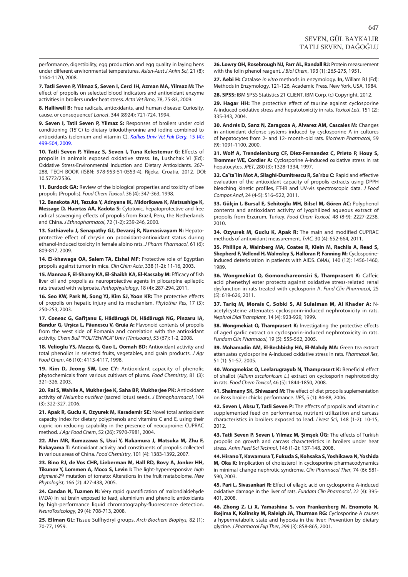<span id="page-6-0"></span>performance, digestibility, egg production and egg quality in laying hens under different environmental temperatures. *Asian-Aust J Anim Sci*, 21 (8): 1164-1170, 2008.

**7. Tatli Seven P, Yilmaz S, Seven I, Cerci IH, Azman MA, Yilmaz M:** The effect of propolis on selected blood indicators and antioxidant enzyme activities in broilers under heat stress. *Acta Vet Brno*, 78, 75-83, 2009.

**8. Halliwell B:** Free radicals, antioxidants, and human disease: Curiosity, cause, or consequence? *Lancet*, 344 (8924): 721-724, 1994.

**9. Seven I, Tatli Seven P, Yilmaz S:** Responses of broilers under cold conditioning (15°C) to dietary triiodothyronine and iodine combined to [antioxidants \(selenium and vitamin C\).](http://vetdergi.kafkas.edu.tr/extdocs/2009_4/499_504.pdf) *Kafkas Univ Vet Fak Derg*, 15 (4): 499-504, 2009.

**10. Tatli Seven P, Yilmaz S, Seven I, Tuna Kelestemur G:** Effects of propolis in animals exposed oxidative stress. **In,** Lushchak VI (Ed): Oxidative Stress-Environmental Induction and Dietary Antioxidants. 267- 288, TECH BOOK (ISBN: 978-953-51-0553-4), Rijeka, Croatia, 2012. DOI: 10.5772/2536.

**11. Burdock GA:** Review of the biological properties and toxicity of bee propolis (Propolis). *Food Chem Toxicol*, 36 (4): 347-363, 1998.

**12. Banskota AH, Tezuka Y, Adnyana IK, Midorikawa K, Matsushige K, Message D, Huertas AA, Kadota S:** Cytotoxic, hepatoprotective and free radical scavenging effects of propolis from Brazil, Peru, the Netherlands and China. *J Ethnopharmacol*, 72 (1-2): 239-246, 2000.

**13. Sathiavelu J, Senapathy GJ, Devaraj R, Namasivayam N:** Hepatoprotective effect of chrysin on prooxidant-antioxidant status during ethanol-induced toxicity in female albino rats. *J Pharm Pharmacol*, 61 (6): 809-817, 2009.

**14. El-khawaga OA, Salem TA, Elshal MF:** Protective role of Egyptian propolis against tumor in mice. *Clin Chim Acta*, 338 (1-2): 11-16, 2003.

**15. Mannaa F, El-Shamy KA, El-Shaikh KA, El-Kassaby M:** Efficacy of fish liver oil and propolis as neuroprotective agents in pilocarpine epileptic rats treated with valproate. *Pathophysiology*, 18 (4): 287-294, 2011.

16. Seo KW, Park M, Song YJ, Kim SJ, Yoon KR: The protective effects of propolis on hepatic injury and its mechanism. *Phytother Res*, 17 (3): 250-253, 2003.

**17. Coneac G, Gafiţanu E, Hădărugă DI, Hădărugă NG, Pînzaru IA, Bandur G, Urşica L, Păunescu V, Gruia A:** Flavonoid contents of propolis from the west side of Romania and correlation with the antioxidant activity. *Chem Bull "POLITEHNICA" Univ (Timisoara)*, 53 (67): 1-2, 2008.

**18. Velioglu YS, Mazza G, Gao L, Oomah BD:** Antioxidant activity and total phenolics in selected fruits, vegetables, and grain products. *J Agr Food Chem*, 46 (10): 4113-4117, 1998.

**19. Kim D, Jeong SW, Lee CY:** Antioxidant capacity of phenolic phytochemicals from various cultivars of plums. *Food Chemistry*, 81 (3): 321-326, 2003.

**20. Rai S, Wahile A, Mukherjee K, Saha BP, Mukherjee PK:** Antioxidant activity of *Nelumbo nucifera* (sacred lotus) seeds. *J Ethnopharmacol*, 104 (3): 322-327, 2006.

**21. Apak R, Guclu K, Ozyurek M, Karademir SE:** Novel total antioxidant capacity index for dietary polyphenols and vitamins C and E, using their cupric ion reducing capability in the presence of neocuproine: CUPRAC method. *J Agr Food Chem*, 52 (26): 7970-7981, 2004.

**22. Ahn MR, Kumazawa S, Usui Y, Nakamura J, Matsuka M, Zhu F, Nakayama T:** Antioxidant activity and constituents of propolis collected in various areas of China. *Food Chemistry*, 101 (4): 1383-1392, 2007.

**23. Bino RJ, de Vos CHR, Lieberman M, Hall RD, Bovy A, Jonker HH, Tikunov Y, Lommen A, Moco S, Levin I:** The light-hyperresponsive *high pigment-2dg* mutation of tomato: Alterations in the fruit metabolome. *New Phytologist*, 166 (2): 427-438, 2005.

24. Candan N, Tuzmen N: Very rapid quantification of malondialdehyde (MDA) in rat brain exposed to lead, aluminium and phenolic antioxidants by high-performance liquid chromatography-fluorescence detection. *NeuroToxicology*, 29 (4): 708-713, 2008.

**25. Ellman GL:** Tissue Sulfhydryl groups. *Arch Biochem Biophys,* 82 (1): 70-77, 1959.

**26. Lowry OH, Rosebrough NJ, Farr AL, Randall RJ:** Protein measurement with the folin phenol reagent. *J Biol Chem*, 193 (1): 265-275, 1951.

**27. Aebi H:** Catalase *in vitro* methods in enzymology. **In,** Willam BJ (Ed): Methods in Enzymology. 121-126, Academic Press. New York, USA, 1984.

**28. SPSS:** IBM SPSS Statistics 21 CLIENT. IBM Corp. (c) Copyright, 2012.

**29. Hagar HH:** The protective effect of taurine against cyclosporine A-induced oxidative stress and hepatotoxicity in rats. *Toxicol Lett*, 151 (2): 335-343, 2004.

**30. Andrés D, Sanz N, Zaragoza A, Alvarez AM, Cascales M:** Changes in antioxidant defense systems induced by cyclosporine A in cultures of hepatocytes from 2- and 12- month-old rats. *Biochem Pharmacol*, 59 (9): 1091-1100, 2000.

**31. Wolf A, Trendelenburg CF, Diez-Fernandez C, Prieto P, Houy S, Trommer WE, Cordier A:** Cyclosporine A-induced oxidative stress in rat hepatocytes. *JPET*, 280 (3): 1328-1334, 1997.

**32. Ca˘ta˘lin Mot A, Silaghi-Dumitrescu R, Saˆrbu C:** Rapid and effective evaluation of the antioxidant capacity of propolis extracts using DPPH bleaching kinetic profiles, FT-IR and UV-vis spectroscopic data. *J Food Compos Anal*, 24 (4-5): 516–522, 2011.

**33. Gülçin I, Bursal E, Sehitoğlu MH, Bilsel M, Gören AC:** Polyphenol contents and antioxidant activity of lyophilized aqueous extract of propolis from Erzurum, Turkey. *Food Chem Toxicol*, 48 (8-9): 2227-2238, 2010.

**34. Ozyurek M, Guclu K, Apak R:** The main and modified CUPRAC methods of antioxidant measurement. *TrAC*, 30 (4): 652-664, 2011.

**35. Phillips A, Wainberg MA, Coates R, Klein M, Rachlis A, Read S, Shepherd F, Vellend H, Walmsley S, Halloran P, Fanning M:** Cyclosporineinduced deterioration in patients with AIDS. *CMAJ*, 140 (12): 1456-1460, 1989.

**36. Wongmekiat O, Gomonchareonsiri S, Thamprasert K:** Caffeic acid phenethyl ester protects against oxidative stress-related renal dysfunction in rats treated with cyclosporin A. *Fund Clin Pharmacol*, 25 (5): 619-626, 2011.

**37. Tariq M, Morais C, Sobki S, Al Sulaiman M, Al Khader A:** Nacetylcysteine attenuates cyclosporin-induced nephrotoxicity in rats. *Nephrol Dial Transplant*, 14 (4): 923-929, 1999.

**38. Wongmekiat O, Thamprasert K:** Investigating the protective effects of aged garlic extract on cyclosporin-induced nephrotoxicity in rats. *Fundam Clin Pharmacol*, 19 (5): 555-562, 2005.

**39. Mohamadin AM, El-Beshbishy HA, El-Mahdy MA:** Green tea extract attenuates cyclosporine A-induced oxidative stress in rats. *Pharmacol Res*, 51 (1): 51-57, 2005.

**40. Wongmekiat O, Leelarugrayub N, Thamprasert K:** Beneficial effect of shallot (*Allium ascalonicum L.*) extract on cyclosporin nephrotoxicity in rats. *Food Chem Toxicol*, 46 (5): 1844-1850, 2008.

**41. Shalmany SK, Shivazard M:** The effect of diet propolis suplementation on Ross broiler chicks performance. *IJPS*, 5 (1): 84-88, 2006.

**42. Seven I, Aksu T, Tatli Seven P:** The effects of propolis and vitamin c supplemented feed on performance, nutrient utilization and carcass characteristics in broilers exposed to lead. *Livest Sci*, 148 (1-2): 10-15, 2012.

**43. Tatli Seven P, Seven I, Yilmaz M, Şimşek ÜG:** The effects of Turkish propolis on growth and carcass characteristics in broilers under heat stress. *Anim Feed Sci Technol*, 146 (1-2): 137-148, 2008.

**44. Hirano T, Kawamura T, Fukuda S, Kohsaka S, Yoshikawa N, Yoshida M, Oka K:** Implication of cholesterol in cyclosporine pharmacodynamics in minimal change nephrotic syndrome. *Clin Pharmacol Ther*, 74 (6): 581- 590, 2003.

**45. Pari L, Sivasankari R:** Effect of ellagic acid on cyclosporine A-induced oxidative damage in the liver of rats. *Fundam Clin Pharmacol*, 22 (4): 395- 401, 2008.

**46. Zhong Z, Li X, Yamashina S, von Frankenberg M, Enomoto N, Ikejima K, Kolinsky M, Raleigh JA, Thurman RG:** Cyclosporine A causes a hypermetabolic state and hypoxia in the liver: Prevention by dietary glycine. *J Pharmacol Exp Ther*, 299 (3): 858-865, 2001.